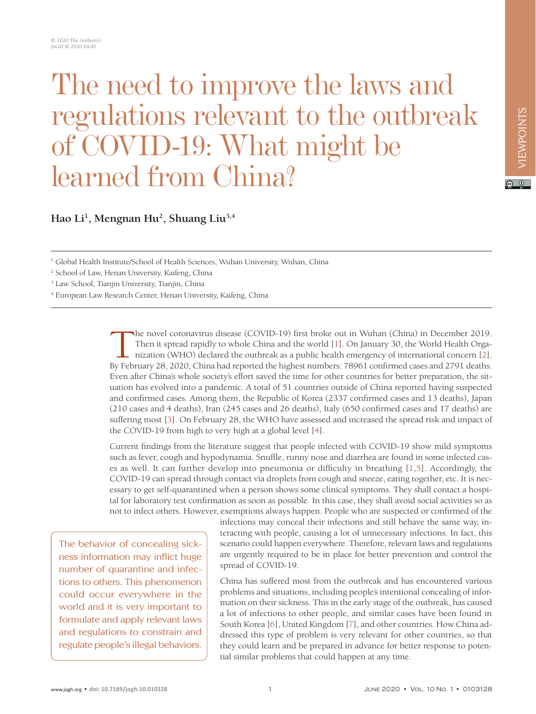## The need to improve the laws and regulations relevant to the outbreak of COVID-19: What might be learned from China?

**Hao Li1 , Mengnan Hu2 , Shuang Liu3,4**

<sup>1</sup> Global Health Institute/School of Health Sciences, Wuhan University, Wuhan, China

2 School of Law, Henan University, Kaifeng, China

3 Law School, Tianjin University, Tianjin, China

4 European Law Research Center, Henan University, Kaifeng, China

The novel coronavirus disease (COVID-19) first broke out in Wuhan (China) in December 2019. Then it spread rapidly to whole China and the world [[1](#page-2-0)]. On January 30, the World Health Organization (WHO) declared the outbreak as a public health emergency of international concern [[2\]](#page-2-1). By February 28, 2020, China had reported the highest numbers: 78961 confirmed cases and 2791 deaths. Even after China's whole society's effort saved the time for other countries for better preparation, the situation has evolved into a pandemic. A total of 51 countries outside of China reported having suspected and confirmed cases. Among them, the Republic of Korea (2337 confirmed cases and 13 deaths), Japan (210 cases and 4 deaths), Iran (245 cases and 26 deaths), Italy (650 confirmed cases and 17 deaths) are suffering most [[3](#page-2-2)]. On February 28, the WHO have assessed and increased the spread risk and impact of the COVID-19 from high to very high at a global level [\[4\]](#page-3-0).

Current findings from the literature suggest that people infected with COVID-19 show mild symptoms such as fever, cough and hypodynamia. Snuffle, runny nose and diarrhea are found in some infected cases as well. It can further develop into pneumonia or difficulty in breathing [[1](#page-2-0),[5](#page-3-1)]. Accordingly, the COVID-19 can spread through contact via droplets from cough and sneeze, eating together, etc. It is necessary to get self-quarantined when a person shows some clinical symptoms. They shall contact a hospital for laboratory test confirmation as soon as possible. In this case, they shall avoid social activities so as not to infect others. However, exemptions always happen. People who are suspected or confirmed of the

The behavior of concealing sickness information may inflict huge number of quarantine and infections to others. This phenomenon could occur everywhere in the world and it is very important to formulate and apply relevant laws and regulations to constrain and regulate people's illegal behaviors.

infections may conceal their infections and still behave the same way, interacting with people, causing a lot of unnecessary infections. In fact, this scenario could happen everywhere. Therefore, relevant laws and regulations are urgently required to be in place for better prevention and control the spread of COVID-19.

China has suffered most from the outbreak and has encountered various problems and situations, including people's intentional concealing of information on their sickness. This in the early stage of the outbreak, has caused a lot of infections to other people, and similar cases have been found in South Korea [\[6](#page-3-2)], United Kingdom [[7\]](#page-3-3), and other countries. How China addressed this type of problem is very relevant for other countries, so that they could learn and be prepared in advance for better response to potential similar problems that could happen at any time.

 $\boxed{6}$  0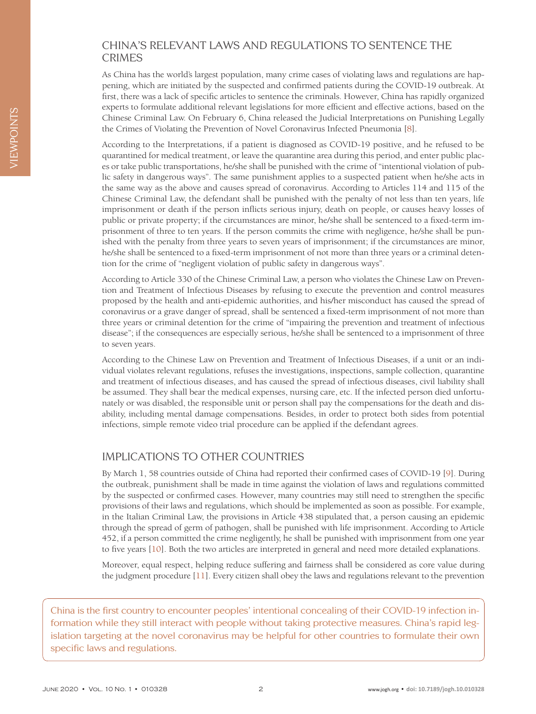## CHINA'S RELEVANT LAWS AND REGULATIONS TO SENTENCE THE CRIMES

As China has the world's largest population, many crime cases of violating laws and regulations are happening, which are initiated by the suspected and confirmed patients during the COVID-19 outbreak. At first, there was a lack of specific articles to sentence the criminals. However, China has rapidly organized experts to formulate additional relevant legislations for more efficient and effective actions, based on the Chinese Criminal Law. On February 6, China released the Judicial Interpretations on Punishing Legally the Crimes of Violating the Prevention of Novel Coronavirus Infected Pneumonia [\[8\]](#page-3-4).

According to the Interpretations, if a patient is diagnosed as COVID-19 positive, and he refused to be quarantined for medical treatment, or leave the quarantine area during this period, and enter public places or take public transportations, he/she shall be punished with the crime of "intentional violation of public safety in dangerous ways". The same punishment applies to a suspected patient when he/she acts in the same way as the above and causes spread of coronavirus. According to Articles 114 and 115 of the Chinese Criminal Law, the defendant shall be punished with the penalty of not less than ten years, life imprisonment or death if the person inflicts serious injury, death on people, or causes heavy losses of public or private property; if the circumstances are minor, he/she shall be sentenced to a fixed-term imprisonment of three to ten years. If the person commits the crime with negligence, he/she shall be punished with the penalty from three years to seven years of imprisonment; if the circumstances are minor, he/she shall be sentenced to a fixed-term imprisonment of not more than three years or a criminal detention for the crime of "negligent violation of public safety in dangerous ways".

According to Article 330 of the Chinese Criminal Law, a person who violates the Chinese Law on Prevention and Treatment of Infectious Diseases by refusing to execute the prevention and control measures proposed by the health and anti-epidemic authorities, and his/her misconduct has caused the spread of coronavirus or a grave danger of spread, shall be sentenced a fixed-term imprisonment of not more than three years or criminal detention for the crime of "impairing the prevention and treatment of infectious disease"; if the consequences are especially serious, he/she shall be sentenced to a imprisonment of three to seven years.

According to the Chinese Law on Prevention and Treatment of Infectious Diseases, if a unit or an individual violates relevant regulations, refuses the investigations, inspections, sample collection, quarantine and treatment of infectious diseases, and has caused the spread of infectious diseases, civil liability shall be assumed. They shall bear the medical expenses, nursing care, etc. If the infected person died unfortunately or was disabled, the responsible unit or person shall pay the compensations for the death and disability, including mental damage compensations. Besides, in order to protect both sides from potential infections, simple remote video trial procedure can be applied if the defendant agrees.

## IMPLICATIONS TO OTHER COUNTRIES

By March 1, 58 countries outside of China had reported their confirmed cases of COVID-19 [[9](#page-3-5)]. During the outbreak, punishment shall be made in time against the violation of laws and regulations committed by the suspected or confirmed cases. However, many countries may still need to strengthen the specific provisions of their laws and regulations, which should be implemented as soon as possible. For example, in the Italian Criminal Law, the provisions in Article 438 stipulated that, a person causing an epidemic through the spread of germ of pathogen, shall be punished with life imprisonment. According to Article 452, if a person committed the crime negligently, he shall be punished with imprisonment from one year to five years [\[10\]](#page-3-6). Both the two articles are interpreted in general and need more detailed explanations.

Moreover, equal respect, helping reduce suffering and fairness shall be considered as core value during the judgment procedure [[11](#page-3-7)]. Every citizen shall obey the laws and regulations relevant to the prevention

China is the first country to encounter peoples' intentional concealing of their COVID-19 infection information while they still interact with people without taking protective measures. China's rapid legislation targeting at the novel coronavirus may be helpful for other countries to formulate their own specific laws and regulations.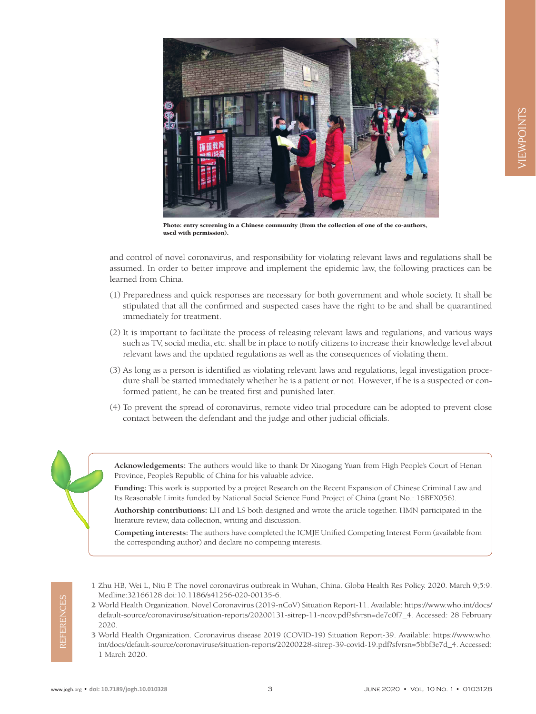

Photo: entry screening in a Chinese community (from the collection of one of the co-authors, used with permission).

and control of novel coronavirus, and responsibility for violating relevant laws and regulations shall be assumed. In order to better improve and implement the epidemic law, the following practices can be learned from China.

- (1) Preparedness and quick responses are necessary for both government and whole society. It shall be stipulated that all the confirmed and suspected cases have the right to be and shall be quarantined immediately for treatment.
- (2) It is important to facilitate the process of releasing relevant laws and regulations, and various ways such as TV, social media, etc. shall be in place to notify citizens to increase their knowledge level about relevant laws and the updated regulations as well as the consequences of violating them.
- (3) As long as a person is identified as violating relevant laws and regulations, legal investigation procedure shall be started immediately whether he is a patient or not. However, if he is a suspected or conformed patient, he can be treated first and punished later.
- (4) To prevent the spread of coronavirus, remote video trial procedure can be adopted to prevent close contact between the defendant and the judge and other judicial officials.



**Acknowledgements:** The authors would like to thank Dr Xiaogang Yuan from High People's Court of Henan Province, People's Republic of China for his valuable advice.

**Funding:** This work is supported by a project Research on the Recent Expansion of Chinese Criminal Law and Its Reasonable Limits funded by National Social Science Fund Project of China (grant No.: 16BFX056).

**Authorship contributions:** LH and LS both designed and wrote the article together. HMN participated in the literature review, data collection, writing and discussion.

**Competing interests:** The authors have completed the ICMJE Unified Competing Interest Form (available from the corresponding author) and declare no competing interests.

- <span id="page-2-0"></span> 1 Zhu HB, Wei L, Niu P. The novel coronavirus outbreak in Wuhan, China. Globa Health Res Policy. 2020. March 9;5:9. Medline:32166128 doi:10.1186/s41256-020-00135-6.
- <span id="page-2-1"></span> 2 World Health Organization. Novel Coronavirus (2019-nCoV) Situation Report-11. Available: [https://www.who.int/docs/](https://www.who.int/docs/default-source/coronaviruse/situation-reports/20200131-sitrep-11-ncov.pdf?sfvrsn=de7c0f7_4) [default-source/coronaviruse/situation-reports/20200131-sitrep-11-ncov.pdf?sfvrsn=de7c0f7\\_4.](https://www.who.int/docs/default-source/coronaviruse/situation-reports/20200131-sitrep-11-ncov.pdf?sfvrsn=de7c0f7_4) Accessed: 28 February 2020.
- <span id="page-2-2"></span> 3 World Health Organization. Coronavirus disease 2019 (COVID-19) Situation Report-39. Available: [https://www.who.](https://www.who.int/docs/default-source/coronaviruse/situation-reports/20200228-sitrep-39-covid-19.pdf?sfvrsn=5bbf3e7d_) [int/docs/default-source/coronaviruse/situation-reports/20200228-sitrep-39-covid-19.pdf?sfvrsn=5bbf3e7d\\_4](https://www.who.int/docs/default-source/coronaviruse/situation-reports/20200228-sitrep-39-covid-19.pdf?sfvrsn=5bbf3e7d_). Accessed: 1 March 2020.